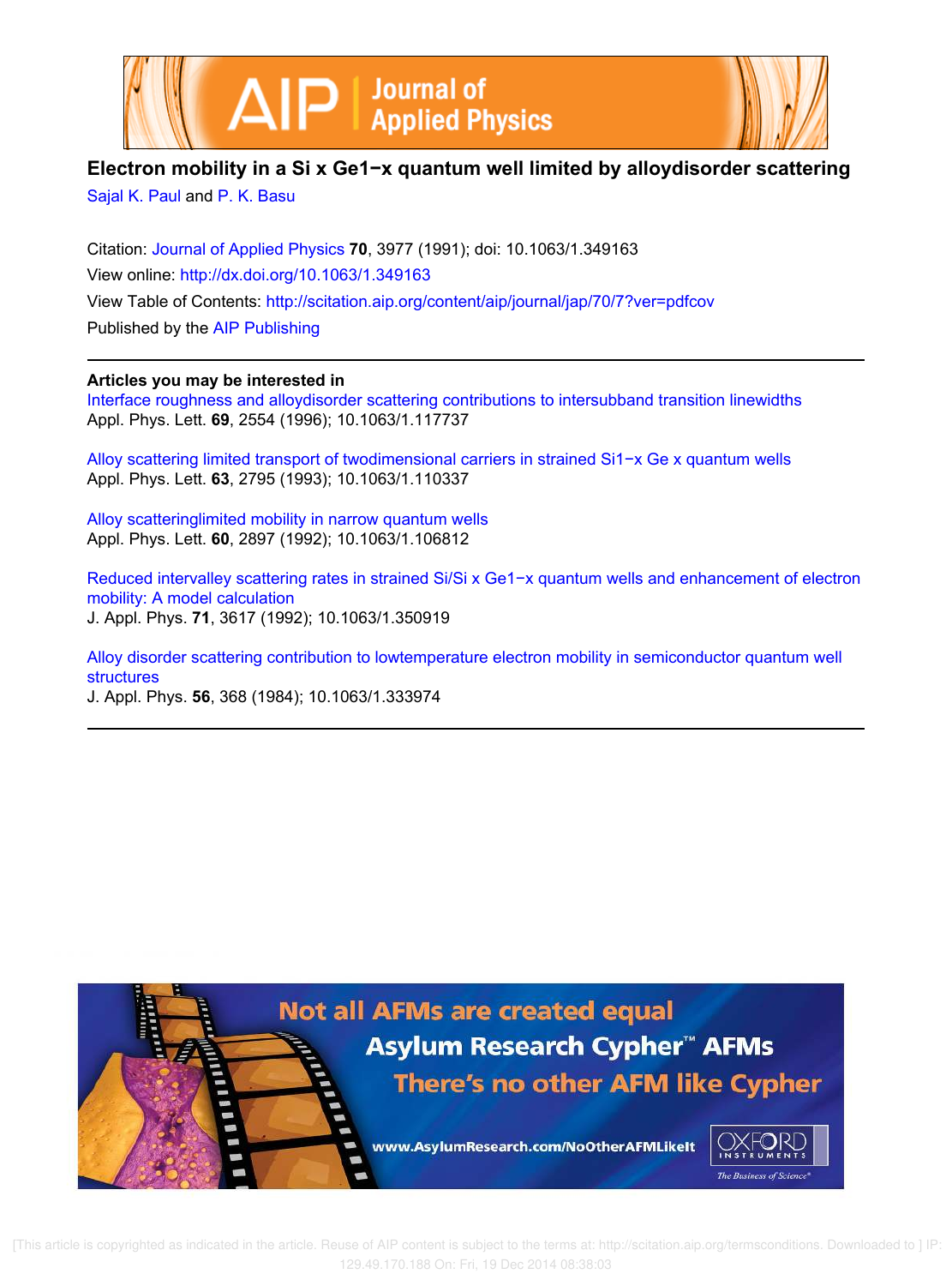



## **Electron mobility in a Si x Ge1−x quantum well limited by alloydisorder scattering**

Sajal K. Paul and P. K. Basu

Citation: Journal of Applied Physics **70**, 3977 (1991); doi: 10.1063/1.349163 View online: http://dx.doi.org/10.1063/1.349163 View Table of Contents: http://scitation.aip.org/content/aip/journal/jap/70/7?ver=pdfcov Published by the AIP Publishing

### **Articles you may be interested in**

Interface roughness and alloydisorder scattering contributions to intersubband transition linewidths Appl. Phys. Lett. **69**, 2554 (1996); 10.1063/1.117737

Alloy scattering limited transport of twodimensional carriers in strained Si1−x Ge x quantum wells Appl. Phys. Lett. **63**, 2795 (1993); 10.1063/1.110337

Alloy scatteringlimited mobility in narrow quantum wells Appl. Phys. Lett. **60**, 2897 (1992); 10.1063/1.106812

Reduced intervalley scattering rates in strained Si/Si x Ge1−x quantum wells and enhancement of electron mobility: A model calculation J. Appl. Phys. **71**, 3617 (1992); 10.1063/1.350919

Alloy disorder scattering contribution to lowtemperature electron mobility in semiconductor quantum well structures

J. Appl. Phys. **56**, 368 (1984); 10.1063/1.333974

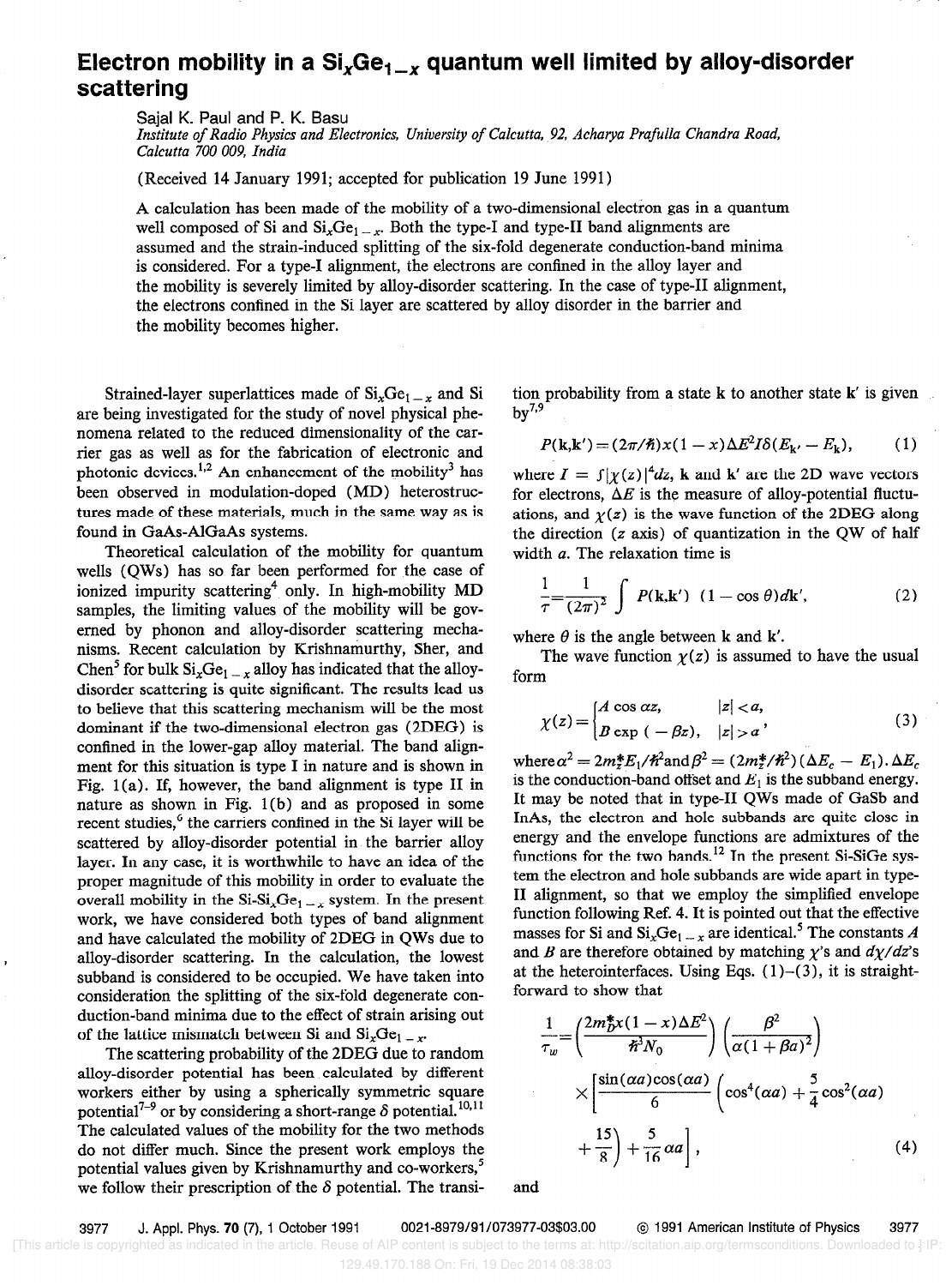# Electron mobility in a  $Si_xGe_{1-x}$  quantum well limited by alloy-disorder scattering

Sajal K. Paul and P. K. Basu

Institute of Radio Physics and Electronics, University of Calcutta, 92, Acharya Prafulla Chandra Road, Calcutta 700 009, India

(Received 14 January 1991; accepted for publication 19 June 1991)

A calculation has been made of the mobility of a two-dimensional electron gas in a quantum well composed of Si and  $Si_xGe_{1-x}$ . Both the type-I and type-II band alignments are assumed and the strain-induced splitting of the six-fold degenerate conduction-band minima is considered. For a type-1 alignment, the electrons are confined in the alloy layer and the mobility is severely limited by alloy-disorder scattering. In the case of type-II alignment, the electrons confined in the Si layer are scattered by alloy disorder in the barrier and the mobility becomes higher.

Strained-layer superlattices made of  $Si_xGe_{1-x}$  and Si are being investigated for the study of novel physical phenomena related to the reduced dimensionality of the carrier gas as well as for the fabrication of electronic and photonic devices.<sup>1,2</sup> An enhancement of the mobility<sup>3</sup> has been observed in modulation-doped (MD) heterostructures made of these materials, much in the same way as is found in GaAs-AlGaAs systems.

Theoretical calculation of the mobility for quantum wells (QWs) has so far been performed for the case of ionized impurity scattering<sup>4</sup> only. In high-mobility MD samples, the limiting values of the mobility will be governed by phonon and alloy-disorder scattering mechanisms. Recent calculation by Krishnamurthy, Sher, and Chen<sup>5</sup> for bulk  $\text{Si}_x\text{Ge}_{1-x}$  alloy has indicated that the alloydisorder scattering is quite significant. The results lead us to believe that this scattering mechanism will be the most dominant if the two-dimensional electron gas (2DEG) is confined in the lower-gap alloy material. The band alignment for this situation is type I in nature and is shown in Fig.  $1(a)$ . If, however, the band alignment is type II in nature as shown in Fig.  $1(b)$  and as proposed in some recent studies,<sup>6</sup> the carriers confined in the Si layer will be scattered by alloy-disorder potential in the barrier alloy layer. In any case, it is worthwhile to have an idea of the proper magnitude of this mobility in order to evaluate the overall mobility in the Si-Si<sub>x</sub>Ge<sub>1</sub> --x system. In the present work, we have considered both types of band alignment and have calculated the mobility of 2DEG in QWs due to alloy-disorder scattering. In the calculation, the lowest subband is considered to be occupied. We have taken into consideration the splitting of the six-fold degenerate conduction-band minima due to the effect of strain arising out of the lattice mismatch between Si and  $\text{Si}_{x}\text{Ge}_{1-x}$ .

The scattering probability of the 2DEG due to random alloy-disorder potential has been calculated by different workers either by using a spherically symmetric square potential<sup>7-9</sup> or by considering a short-range  $\delta$  potential.<sup>10,11</sup> The calculated values of the mobility for the two methods do not differ much. Since the present work employs the potential values given by Krishnamurthy and co-workers,<sup>5</sup> we follow their prescription of the  $\delta$  potential. The transition probability from a state k to another state k' is given  $by<sup>7,9</sup>$ 

$$
P(\mathbf{k},\mathbf{k}') = (2\pi/\hbar)x(1-x)\Delta E^2 I \delta(E_{\mathbf{k}'}-E_{\mathbf{k}}),\qquad(1)
$$

where  $I = \int |\chi(z)|^4 dz$ , k and k' are the 2D wave vectors for electrons,  $\Delta E$  is the measure of alloy-potential fluctuations, and  $\chi(z)$  is the wave function of the 2DEG along the direction  $(z \text{ axis})$  of quantization in the QW of half width a. The relaxation time is

$$
\frac{1}{\tau} = \frac{1}{(2\pi)^2} \int P(\mathbf{k}, \mathbf{k}') \ (1 - \cos \theta) d\mathbf{k}', \tag{2}
$$

where  $\theta$  is the angle between k and k'.

The wave function  $y(z)$  is assumed to have the usual form

$$
\chi(z) = \begin{cases} A \cos \alpha z, & |z| < a, \\ B \exp(-\beta z), & |z| > a \end{cases}
$$
 (3)

where  $\alpha^2 = 2m_z^*E_1/\hbar^2$  and  $\beta^2 = (2m_z^*/\hbar^2)(\Delta E_c - E_1).\Delta E_c$ is the conduction-band offset and  $E_1$  is the subband energy. It may be noted that in type-II QWs made of GaSb and InAs, the electron and hole subbands are quite close in energy and the envelope functions are admixtures of the functions for the two bands.<sup>12</sup> In the present Si-SiGe system the electron and hole subbands are wide apart in type-II alignment, so that we employ the simplified envelope function following Ref. 4. It is pointed out that the effective masses for Si and  $\text{Si}_{x}\text{Ge}_{1-x}$  are identical.<sup>5</sup> The constants A and B are therefore obtained by matching  $\chi$ 's and  $d\chi/dz$ 's at the heterointerfaces. Using Eqs.  $(1)-(3)$ , it is straightforward to show that

$$
\frac{1}{\tau_w} = \left(\frac{2m_D^*x(1-x)\Delta E^2}{\hbar^3 N_0}\right) \left(\frac{\beta^2}{\alpha(1+\beta a)^2}\right)
$$

$$
\times \left[\frac{\sin(\alpha a)\cos(\alpha a)}{6}\left(\cos^4(\alpha a) + \frac{5}{4}\cos^2(\alpha a)\right) + \frac{15}{8}\right) + \frac{5}{16}\alpha a\right],
$$
(4)

and

3977 J. Appl. Phys. 70 (7), 1 October 1991 0021-8979/91/073977-03\$03.00 @ 1991 American Institute of Physics 3977

[This article is copyrighted as indicated in the article. Reuse of AIP content is subject to the terms at: http://scitation.aip.org/termsconditions. Downloaded to ] IP:

<sup>129.49.170.188</sup> On: Fri, 19 Dec 2014 08:38:03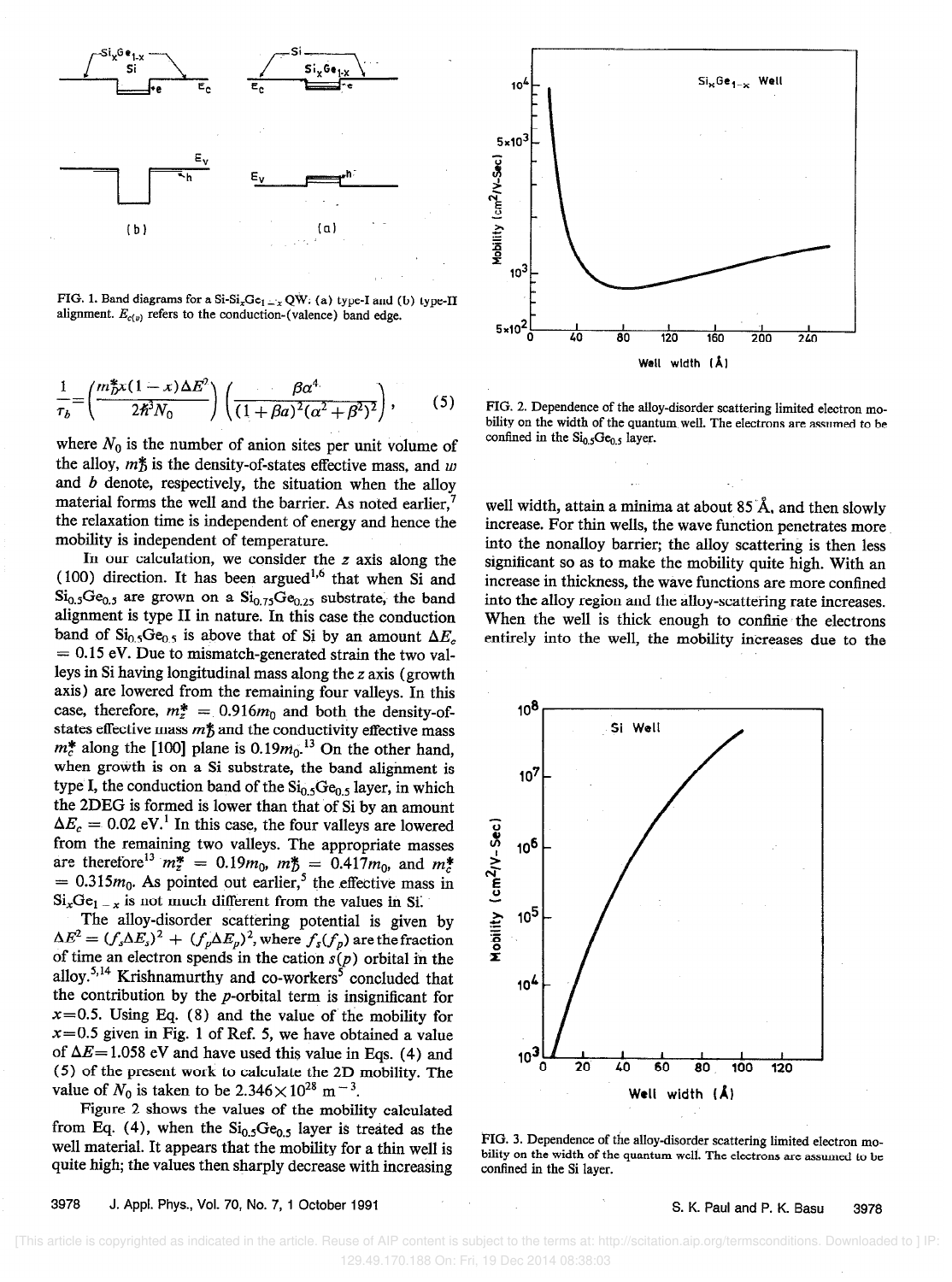

FIG. 1. Band diagrams for a Si-Si<sub>x</sub>Ge<sub>l ---</sub>  $QW: (a)$  type-I and (b) type-II alignment.  $E_{c(v)}$  refers to the conduction-(valence) band edge.

$$
\frac{1}{\tau_b} = \left(\frac{m_D^* x (1 - x) \Delta E^2}{2\hbar^3 N_0}\right) \left(\frac{\beta \alpha^4}{(1 + \beta a)^2 (\alpha^2 + \beta^2)^2}\right),\tag{5}
$$

where  $N_0$  is the number of anion sites per unit volume of the alloy,  $m\ddot{\uparrow}$  is the density-of-states effective mass, and w and  $b$  denote, respectively, the situation when the alloy material forms the well and the barrier. As noted earlier,' the relaxation time is independent of energy and hence the mobility is independent of temperature.

In our calculation, we consider the z axis along the (100) direction. It has been argued<sup>1,6</sup> that when Si and  $\mathrm{Si}_{0.5}\mathrm{Ge}_{0.5}$  are grown on a  $\mathrm{Si}_{0.75}\mathrm{Ge}_{0.25}$  substrate, the band alignment is type II in nature. In this case the conduction band of  $Si<sub>0.5</sub>Ge<sub>0.5</sub>$  is above that of Si by an amount  $\Delta E_c$  $= 0.15$  eV. Due to mismatch-generated strain the two valleys in Si having longitudinal mass along the z axis (growth axis) are lowered from the remaining four valleys. In this case, therefore,  $m_z^* = 0.916m_0$  and both the density-ofstates effective mass  $m_b$  and the conductivity effective mass  $m_c$  along the [loo] plane is 0.19 $m_0$ . On the other hand, when growth is on a Si substrate, the band alignment is type I, the conduction band of the  $Si<sub>0.5</sub>Ge<sub>0.5</sub>$  layer, in which the 2DEG is formed is lower than that of Si by an amount  $\Delta E_c = 0.02$  eV.<sup>1</sup> In this case, the four valleys are lowered from the remaining two valleys. The appropriate masses are therefore  $m_z = 0.19m_0$ ,  $m_{\overline{D}} = 0.41/m_0$ , and  $m_c$  $= 0.313m_0$ . As pointed out earlier, the effective mass in  $Si_xGe_{1-x}$  is not much different from the values in Si.

The alloy-disorder scattering potential is given by  $\Delta E^2 = (f_s \Delta E_s)^2 + (f_p \Delta E_p)^2$ , where  $f_s(f_p)$  are the fraction of time an electron spends in the cation  $s(p)$  orbital in the alloy.<sup>5,14</sup> Krishnamurthy and co-workers<sup>5</sup> concluded that the contribution by the p-orbital term is insignificant for  $x=0.5$ . Using Eq. (8) and the value of the mobility for  $x=0.5$  given in Fig. 1 of Ref. 5, we have obtained a value of  $\Delta E$ = 1.058 eV and have used this value in Eqs. (4) and (5) of the present work to calculate the 2D mobility. The value of  $N_0$  is taken to be 2.346 $\times$ 10<sup>28</sup> m<sup>-3</sup>.

Figure 2 shows the values of the mobility calculated from Eq. (4), when the  $Si<sub>0.5</sub>Ge<sub>0.5</sub>$  layer is treated as the well material. It appears that the mobility for a thin well is quite high; the values then sharply decrease with increasing



FIG. 2. Dependence of the alloy-disorder scattering limited electron mobility on the width of the quantum well. The electrons are assumed to be confined in the  $\mathrm{Si}_{0.5}\mathrm{Ge}_{0.5}$  layer.

well width, attain a minima at about 85 Å, and then slowly increase. For thin wells, the wave function penetrates more into the nonalloy barrier; the alloy scattering is then less significant so as to make the mobility quite high. With an increase in thickness, the wave functions are more confined into the alloy region and the alloy-scattering rate increases. When the well is thick enough to confine the electrons entirely into the well, the mobility increases due to the



FIG. 3. Dependence of the alloy-disorder scattering limited electron mobility on the width of the quantum well. The electrons are assumed to be confined in the Si layer.